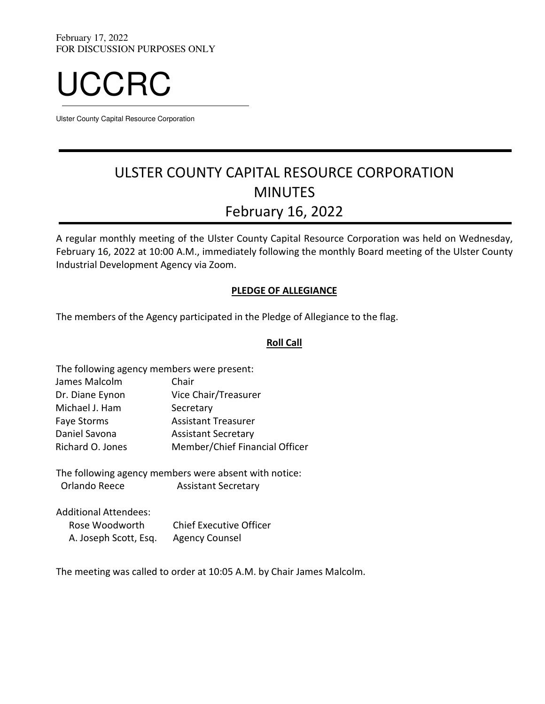

Ulster County Capital Resource Corporation

# ULSTER COUNTY CAPITAL RESOURCE CORPORATION MINUTES February 16, 2022

A regular monthly meeting of the Ulster County Capital Resource Corporation was held on Wednesday, February 16, 2022 at 10:00 A.M., immediately following the monthly Board meeting of the Ulster County Industrial Development Agency via Zoom.

## PLEDGE OF ALLEGIANCE

The members of the Agency participated in the Pledge of Allegiance to the flag.

## Roll Call

| The following agency members were present: |                                |
|--------------------------------------------|--------------------------------|
| James Malcolm                              | Chair                          |
| Dr. Diane Eynon                            | Vice Chair/Treasurer           |
| Michael J. Ham                             | Secretary                      |
| <b>Faye Storms</b>                         | <b>Assistant Treasurer</b>     |
| Daniel Savona                              | <b>Assistant Secretary</b>     |
| Richard O. Jones                           | Member/Chief Financial Officer |
|                                            |                                |

The following agency members were absent with notice: Orlando Reece Assistant Secretary

Additional Attendees:

| Rose Woodworth        | <b>Chief Executive Officer</b> |
|-----------------------|--------------------------------|
| A. Joseph Scott, Esq. | <b>Agency Counsel</b>          |

The meeting was called to order at 10:05 A.M. by Chair James Malcolm.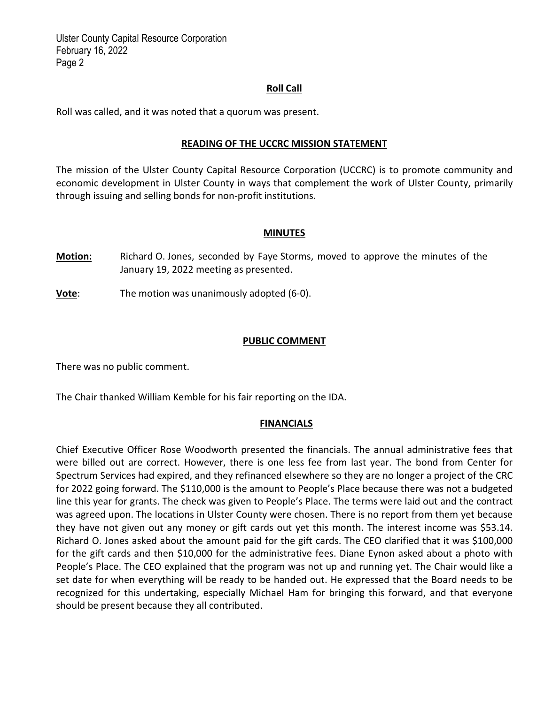Ulster County Capital Resource Corporation February 16, 2022 Page 2

## Roll Call

Roll was called, and it was noted that a quorum was present.

#### READING OF THE UCCRC MISSION STATEMENT

The mission of the Ulster County Capital Resource Corporation (UCCRC) is to promote community and economic development in Ulster County in ways that complement the work of Ulster County, primarily through issuing and selling bonds for non‐profit institutions.

#### MINUTES

Motion: Richard O. Jones, seconded by Faye Storms, moved to approve the minutes of the January 19, 2022 meeting as presented.

**Vote:** The motion was unanimously adopted (6-0).

#### PUBLIC COMMENT

There was no public comment.

The Chair thanked William Kemble for his fair reporting on the IDA.

#### **FINANCIALS**

Chief Executive Officer Rose Woodworth presented the financials. The annual administrative fees that were billed out are correct. However, there is one less fee from last year. The bond from Center for Spectrum Services had expired, and they refinanced elsewhere so they are no longer a project of the CRC for 2022 going forward. The \$110,000 is the amount to People's Place because there was not a budgeted line this year for grants. The check was given to People's Place. The terms were laid out and the contract was agreed upon. The locations in Ulster County were chosen. There is no report from them yet because they have not given out any money or gift cards out yet this month. The interest income was \$53.14. Richard O. Jones asked about the amount paid for the gift cards. The CEO clarified that it was \$100,000 for the gift cards and then \$10,000 for the administrative fees. Diane Eynon asked about a photo with People's Place. The CEO explained that the program was not up and running yet. The Chair would like a set date for when everything will be ready to be handed out. He expressed that the Board needs to be recognized for this undertaking, especially Michael Ham for bringing this forward, and that everyone should be present because they all contributed.